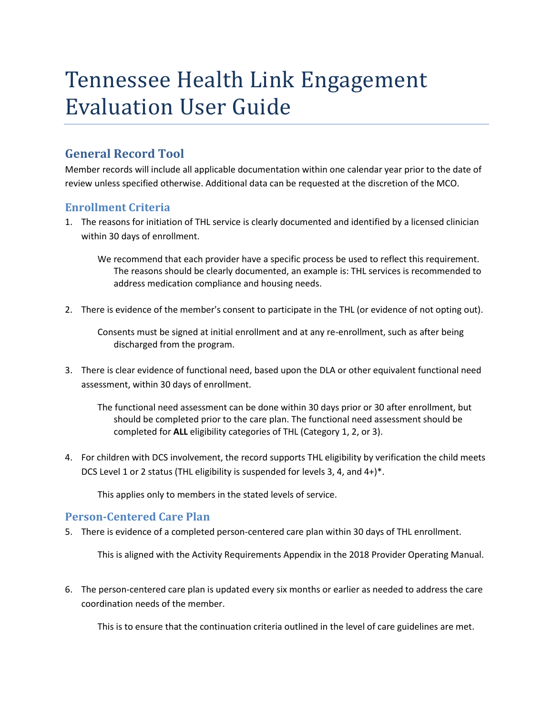# Tennessee Health Link Engagement Evaluation User Guide

# **General Record Tool**

Member records will include all applicable documentation within one calendar year prior to the date of review unless specified otherwise. Additional data can be requested at the discretion of the MCO.

### **Enrollment Criteria**

1. The reasons for initiation of THL service is clearly documented and identified by a licensed clinician within 30 days of enrollment.

We recommend that each provider have a specific process be used to reflect this requirement. The reasons should be clearly documented, an example is: THL services is recommended to address medication compliance and housing needs.

2. There is evidence of the member's consent to participate in the THL (or evidence of not opting out).

Consents must be signed at initial enrollment and at any re-enrollment, such as after being discharged from the program.

3. There is clear evidence of functional need, based upon the DLA or other equivalent functional need assessment, within 30 days of enrollment.

The functional need assessment can be done within 30 days prior or 30 after enrollment, but should be completed prior to the care plan. The functional need assessment should be completed for **ALL** eligibility categories of THL (Category 1, 2, or 3).

4. For children with DCS involvement, the record supports THL eligibility by verification the child meets DCS Level 1 or 2 status (THL eligibility is suspended for levels 3, 4, and 4+)\*.

This applies only to members in the stated levels of service.

#### **Person-Centered Care Plan**

5. There is evidence of a completed person-centered care plan within 30 days of THL enrollment.

This is aligned with the Activity Requirements Appendix in the 2018 Provider Operating Manual.

6. The person-centered care plan is updated every six months or earlier as needed to address the care coordination needs of the member.

This is to ensure that the continuation criteria outlined in the level of care guidelines are met.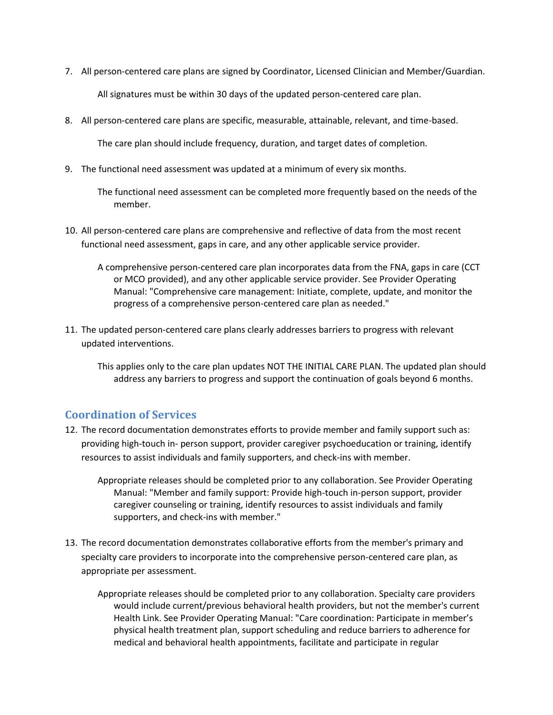- 7. All person-centered care plans are signed by Coordinator, Licensed Clinician and Member/Guardian. All signatures must be within 30 days of the updated person-centered care plan.
- 8. All person-centered care plans are specific, measurable, attainable, relevant, and time-based.

The care plan should include frequency, duration, and target dates of completion.

9. The functional need assessment was updated at a minimum of every six months.

The functional need assessment can be completed more frequently based on the needs of the member.

- 10. All person-centered care plans are comprehensive and reflective of data from the most recent functional need assessment, gaps in care, and any other applicable service provider.
	- A comprehensive person-centered care plan incorporates data from the FNA, gaps in care (CCT or MCO provided), and any other applicable service provider. See Provider Operating Manual: "Comprehensive care management: Initiate, complete, update, and monitor the progress of a comprehensive person-centered care plan as needed."
- 11. The updated person-centered care plans clearly addresses barriers to progress with relevant updated interventions.

This applies only to the care plan updates NOT THE INITIAL CARE PLAN. The updated plan should address any barriers to progress and support the continuation of goals beyond 6 months.

#### **Coordination of Services**

- 12. The record documentation demonstrates efforts to provide member and family support such as: providing high-touch in- person support, provider caregiver psychoeducation or training, identify resources to assist individuals and family supporters, and check-ins with member.
	- Appropriate releases should be completed prior to any collaboration. See Provider Operating Manual: "Member and family support: Provide high-touch in-person support, provider caregiver counseling or training, identify resources to assist individuals and family supporters, and check-ins with member."
- 13. The record documentation demonstrates collaborative efforts from the member's primary and specialty care providers to incorporate into the comprehensive person-centered care plan, as appropriate per assessment.
	- Appropriate releases should be completed prior to any collaboration. Specialty care providers would include current/previous behavioral health providers, but not the member's current Health Link. See Provider Operating Manual: "Care coordination: Participate in member's physical health treatment plan, support scheduling and reduce barriers to adherence for medical and behavioral health appointments, facilitate and participate in regular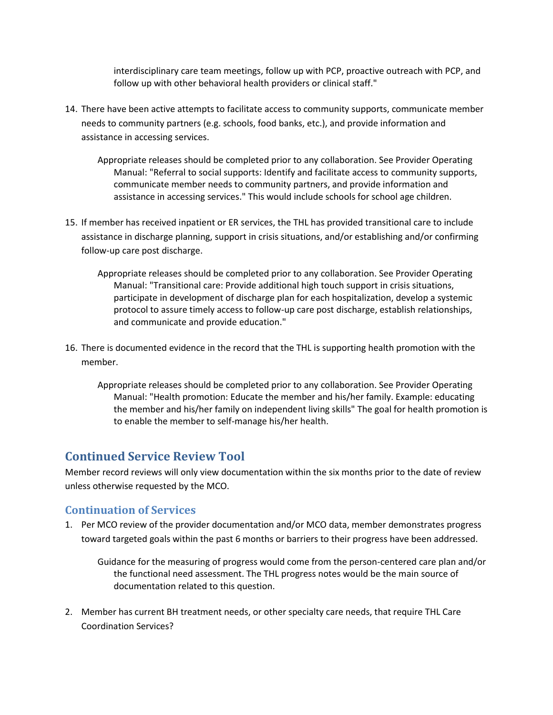interdisciplinary care team meetings, follow up with PCP, proactive outreach with PCP, and follow up with other behavioral health providers or clinical staff."

- 14. There have been active attempts to facilitate access to community supports, communicate member needs to community partners (e.g. schools, food banks, etc.), and provide information and assistance in accessing services.
	- Appropriate releases should be completed prior to any collaboration. See Provider Operating Manual: "Referral to social supports: Identify and facilitate access to community supports, communicate member needs to community partners, and provide information and assistance in accessing services." This would include schools for school age children.
- 15. If member has received inpatient or ER services, the THL has provided transitional care to include assistance in discharge planning, support in crisis situations, and/or establishing and/or confirming follow-up care post discharge.
	- Appropriate releases should be completed prior to any collaboration. See Provider Operating Manual: "Transitional care: Provide additional high touch support in crisis situations, participate in development of discharge plan for each hospitalization, develop a systemic protocol to assure timely access to follow-up care post discharge, establish relationships, and communicate and provide education."
- 16. There is documented evidence in the record that the THL is supporting health promotion with the member.
	- Appropriate releases should be completed prior to any collaboration. See Provider Operating Manual: "Health promotion: Educate the member and his/her family. Example: educating the member and his/her family on independent living skills" The goal for health promotion is to enable the member to self-manage his/her health.

## **Continued Service Review Tool**

Member record reviews will only view documentation within the six months prior to the date of review unless otherwise requested by the MCO.

#### **Continuation of Services**

1. Per MCO review of the provider documentation and/or MCO data, member demonstrates progress toward targeted goals within the past 6 months or barriers to their progress have been addressed.

Guidance for the measuring of progress would come from the person-centered care plan and/or the functional need assessment. The THL progress notes would be the main source of documentation related to this question.

2. Member has current BH treatment needs, or other specialty care needs, that require THL Care Coordination Services?